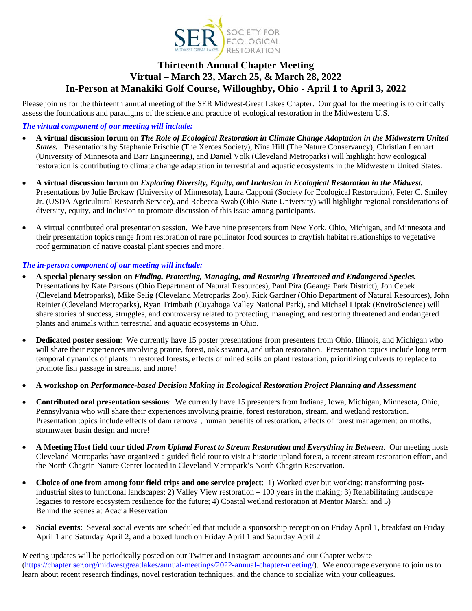

## **Thirteenth Annual Chapter Meeting Virtual – March 23, March 25, & March 28, 2022 In-Person at Manakiki Golf Course, Willoughby, Ohio - April 1 to April 3, 2022**

Please join us for the thirteenth annual meeting of the SER Midwest-Great Lakes Chapter. Our goal for the meeting is to critically assess the foundations and paradigms of the science and practice of ecological restoration in the Midwestern U.S.

#### *The virtual component of our meeting will include:*

- **A virtual discussion forum on** *The Role of Ecological Restoration in Climate Change Adaptation in the Midwestern United States.* Presentations by Stephanie Frischie (The Xerces Society), Nina Hill (The Nature Conservancy), Christian Lenhart (University of Minnesota and Barr Engineering), and Daniel Volk (Cleveland Metroparks) will highlight how ecological restoration is contributing to climate change adaptation in terrestrial and aquatic ecosystems in the Midwestern United States.
- **A virtual discussion forum on** *Exploring Diversity, Equity, and Inclusion in Ecological Restoration in the Midwest.*  Presentations by Julie Brokaw (University of Minnesota), Laura Capponi (Society for Ecological Restoration), Peter C. Smiley Jr. (USDA Agricultural Research Service), and Rebecca Swab (Ohio State University) will highlight regional considerations of diversity, equity, and inclusion to promote discussion of this issue among participants.
- A virtual contributed oral presentation session. We have nine presenters from New York, Ohio, Michigan, and Minnesota and their presentation topics range from restoration of rare pollinator food sources to crayfish habitat relationships to vegetative roof germination of native coastal plant species and more!

#### *The in-person component of our meeting will include:*

- **A special plenary session on** *Finding, Protecting, Managing, and Restoring Threatened and Endangered Species.*  Presentations by Kate Parsons (Ohio Department of Natural Resources), Paul Pira (Geauga Park District), Jon Cepek (Cleveland Metroparks), Mike Selig (Cleveland Metroparks Zoo), Rick Gardner (Ohio Department of Natural Resources), John Reinier (Cleveland Metroparks), Ryan Trimbath (Cuyahoga Valley National Park), and Michael Liptak (EnviroScience) will share stories of success, struggles, and controversy related to protecting, managing, and restoring threatened and endangered plants and animals within terrestrial and aquatic ecosystems in Ohio.
- **Dedicated poster session**: We currently have 15 poster presentations from presenters from Ohio, Illinois, and Michigan who will share their experiences involving prairie, forest, oak savanna, and urban restoration. Presentation topics include long term temporal dynamics of plants in restored forests, effects of mined soils on plant restoration, prioritizing culverts to replace to promote fish passage in streams, and more!
- **A workshop on** *Performance-based Decision Making in Ecological Restoration Project Planning and Assessment*
- **Contributed oral presentation sessions**: We currently have 15 presenters from Indiana, Iowa, Michigan, Minnesota, Ohio, Pennsylvania who will share their experiences involving prairie, forest restoration, stream, and wetland restoration. Presentation topics include effects of dam removal, human benefits of restoration, effects of forest management on moths, stormwater basin design and more!
- **A Meeting Host field tour titled** *From Upland Forest to Stream Restoration and Everything in Between*. Our meeting hosts Cleveland Metroparks have organized a guided field tour to visit a historic upland forest, a recent stream restoration effort, and the North Chagrin Nature Center located in Cleveland Metropark's North Chagrin Reservation.
- **Choice of one from among four field trips and one service project**: 1) Worked over but working: transforming postindustrial sites to functional landscapes; 2) Valley View restoration – 100 years in the making; 3) Rehabilitating landscape legacies to restore ecosystem resilience for the future; 4) Coastal wetland restoration at Mentor Marsh; and 5) Behind the scenes at Acacia Reservation
- **Social events**: Several social events are scheduled that include a sponsorship reception on Friday April 1, breakfast on Friday April 1 and Saturday April 2, and a boxed lunch on Friday April 1 and Saturday April 2

Meeting updates will be periodically posted on our Twitter and Instagram accounts and our Chapter website (https://chapter.ser.org/midwestgreatlakes/annual-meetings/2022-annual-chapter-meeting/). We encourage everyone to join us to learn about recent research findings, novel restoration techniques, and the chance to socialize with your colleagues.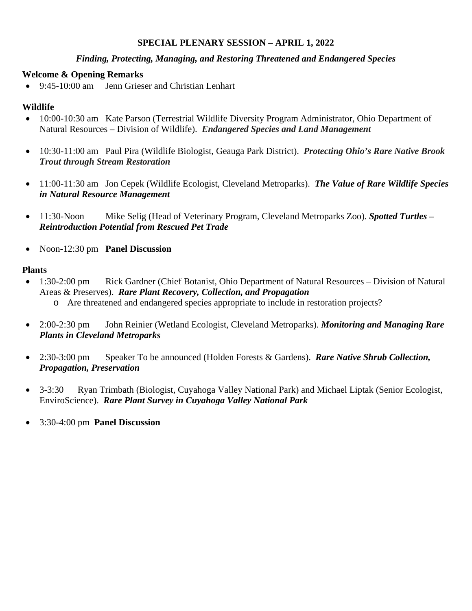## **SPECIAL PLENARY SESSION – APRIL 1, 2022**

#### *Finding, Protecting, Managing, and Restoring Threatened and Endangered Species*

#### **Welcome & Opening Remarks**

9:45-10:00 am Jenn Grieser and Christian Lenhart

## **Wildlife**

- 10:00-10:30 am Kate Parson (Terrestrial Wildlife Diversity Program Administrator, Ohio Department of Natural Resources – Division of Wildlife). *Endangered Species and Land Management*
- 10:30-11:00 am Paul Pira (Wildlife Biologist, Geauga Park District). *Protecting Ohio's Rare Native Brook Trout through Stream Restoration*
- 11:00-11:30 am Jon Cepek (Wildlife Ecologist, Cleveland Metroparks). *The Value of Rare Wildlife Species in Natural Resource Management*
- 11:30-Noon Mike Selig (Head of Veterinary Program, Cleveland Metroparks Zoo). *Spotted Turtles Reintroduction Potential from Rescued Pet Trade*
- Noon-12:30 pm **Panel Discussion**

## **Plants**

- 1:30-2:00 pm Rick Gardner (Chief Botanist, Ohio Department of Natural Resources Division of Natural Areas & Preserves). *Rare Plant Recovery, Collection, and Propagation* o Are threatened and endangered species appropriate to include in restoration projects?
- 2:00-2:30 pm John Reinier (Wetland Ecologist, Cleveland Metroparks). *Monitoring and Managing Rare Plants in Cleveland Metroparks*
- 2:30-3:00 pm Speaker To be announced (Holden Forests & Gardens). *Rare Native Shrub Collection, Propagation, Preservation*
- 3-3:30 Ryan Trimbath (Biologist, Cuyahoga Valley National Park) and Michael Liptak (Senior Ecologist, EnviroScience). *Rare Plant Survey in Cuyahoga Valley National Park*
- 3:30-4:00 pm **Panel Discussion**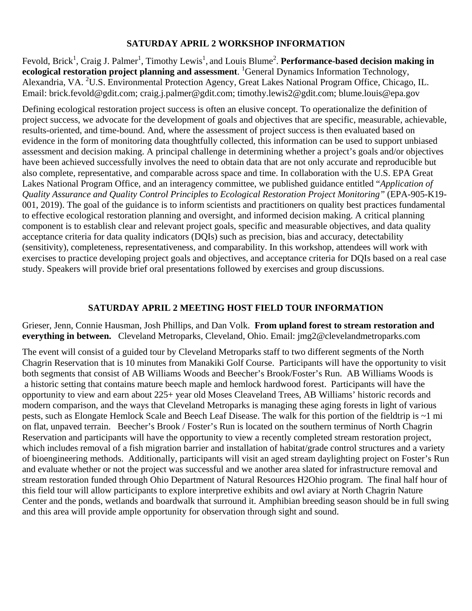### **SATURDAY APRIL 2 WORKSHOP INFORMATION**

Fevold, Brick<sup>1</sup>, Craig J. Palmer<sup>1</sup>, Timothy Lewis<sup>1</sup>, and Louis Blume<sup>2</sup>. Performance-based decision making in ecological restoration project planning and assessment. <sup>1</sup>General Dynamics Information Technology, Alexandria, VA. <sup>2</sup>U.S. Environmental Protection Agency, Great Lakes National Program Office, Chicago, IL. Email: brick.fevold@gdit.com; craig.j.palmer@gdit.com; timothy.lewis2@gdit.com; blume.louis@epa.gov

Defining ecological restoration project success is often an elusive concept. To operationalize the definition of project success, we advocate for the development of goals and objectives that are specific, measurable, achievable, results-oriented, and time-bound. And, where the assessment of project success is then evaluated based on evidence in the form of monitoring data thoughtfully collected, this information can be used to support unbiased assessment and decision making. A principal challenge in determining whether a project's goals and/or objectives have been achieved successfully involves the need to obtain data that are not only accurate and reproducible but also complete, representative, and comparable across space and time. In collaboration with the U.S. EPA Great Lakes National Program Office, and an interagency committee, we published guidance entitled "*Application of Quality Assurance and Quality Control Principles to Ecological Restoration Project Monitoring"* (EPA-905-K19-  $\overline{001}$ , 2019). The goal of the guidance is to inform scientists and practitioners on quality best practices fundamental to effective ecological restoration planning and oversight, and informed decision making. A critical planning component is to establish clear and relevant project goals, specific and measurable objectives, and data quality acceptance criteria for data quality indicators (DQIs) such as precision, bias and accuracy, detectability (sensitivity), completeness, representativeness, and comparability. In this workshop, attendees will work with exercises to practice developing project goals and objectives, and acceptance criteria for DQIs based on a real case study. Speakers will provide brief oral presentations followed by exercises and group discussions.

### **SATURDAY APRIL 2 MEETING HOST FIELD TOUR INFORMATION**

Grieser, Jenn, Connie Hausman, Josh Phillips, and Dan Volk. **From upland forest to stream restoration and everything in between.** Cleveland Metroparks, Cleveland, Ohio. Email: jmg2@clevelandmetroparks.com

The event will consist of a guided tour by Cleveland Metroparks staff to two different segments of the North Chagrin Reservation that is 10 minutes from Manakiki Golf Course. Participants will have the opportunity to visit both segments that consist of AB Williams Woods and Beecher's Brook/Foster's Run. AB Williams Woods is a historic setting that contains mature beech maple and hemlock hardwood forest. Participants will have the opportunity to view and earn about 225+ year old Moses Cleaveland Trees, AB Williams' historic records and modern comparison, and the ways that Cleveland Metroparks is managing these aging forests in light of various pests, such as Elongate Hemlock Scale and Beech Leaf Disease. The walk for this portion of the fieldtrip is ~1 mi on flat, unpaved terrain. Beecher's Brook / Foster's Run is located on the southern terminus of North Chagrin Reservation and participants will have the opportunity to view a recently completed stream restoration project, which includes removal of a fish migration barrier and installation of habitat/grade control structures and a variety of bioengineering methods. Additionally, participants will visit an aged stream daylighting project on Foster's Run and evaluate whether or not the project was successful and we another area slated for infrastructure removal and stream restoration funded through Ohio Department of Natural Resources H2Ohio program. The final half hour of this field tour will allow participants to explore interpretive exhibits and owl aviary at North Chagrin Nature Center and the ponds, wetlands and boardwalk that surround it. Amphibian breeding season should be in full swing and this area will provide ample opportunity for observation through sight and sound.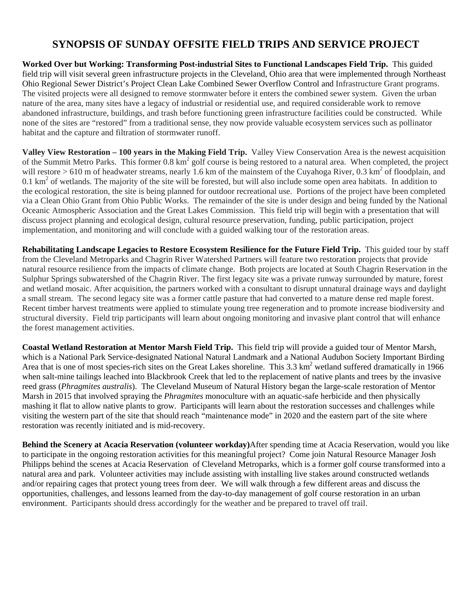## **SYNOPSIS OF SUNDAY OFFSITE FIELD TRIPS AND SERVICE PROJECT**

**Worked Over but Working: Transforming Post-industrial Sites to Functional Landscapes Field Trip.** This guided field trip will visit several green infrastructure projects in the Cleveland, Ohio area that were implemented through Northeast Ohio Regional Sewer District's Project Clean Lake Combined Sewer Overflow Control and Infrastructure Grant programs. The visited projects were all designed to remove stormwater before it enters the combined sewer system. Given the urban nature of the area, many sites have a legacy of industrial or residential use, and required considerable work to remove abandoned infrastructure, buildings, and trash before functioning green infrastructure facilities could be constructed. While none of the sites are "restored" from a traditional sense, they now provide valuable ecosystem services such as pollinator habitat and the capture and filtration of stormwater runoff.

**Valley View Restoration – 100 years in the Making Field Trip.** Valley View Conservation Area is the newest acquisition of the Summit Metro Parks. This former 0.8 km<sup>2</sup> golf course is being restored to a natural area. When completed, the project will restore  $> 610$  m of headwater streams, nearly 1.6 km of the mainstem of the Cuyahoga River, 0.3 km<sup>2</sup> of floodplain, and  $0.1 \text{ km}^2$  of wetlands. The majority of the site will be forested, but will also include some open area habitats. In addition to the ecological restoration, the site is being planned for outdoor recreational use. Portions of the project have been completed via a Clean Ohio Grant from Ohio Public Works. The remainder of the site is under design and being funded by the National Oceanic Atmospheric Association and the Great Lakes Commission. This field trip will begin with a presentation that will discuss project planning and ecological design, cultural resource preservation, funding, public participation, project implementation, and monitoring and will conclude with a guided walking tour of the restoration areas.

**Rehabilitating Landscape Legacies to Restore Ecosystem Resilience for the Future Field Trip.** This guided tour by staff from the Cleveland Metroparks and Chagrin River Watershed Partners will feature two restoration projects that provide natural resource resilience from the impacts of climate change. Both projects are located at South Chagrin Reservation in the Sulphur Springs subwatershed of the Chagrin River. The first legacy site was a private runway surrounded by mature, forest and wetland mosaic. After acquisition, the partners worked with a consultant to disrupt unnatural drainage ways and daylight a small stream. The second legacy site was a former cattle pasture that had converted to a mature dense red maple forest. Recent timber harvest treatments were applied to stimulate young tree regeneration and to promote increase biodiversity and structural diversity. Field trip participants will learn about ongoing monitoring and invasive plant control that will enhance the forest management activities.

**Coastal Wetland Restoration at Mentor Marsh Field Trip.** This field trip will provide a guided tour of Mentor Marsh, which is a National Park Service-designated National Natural Landmark and a National Audubon Society Important Birding Area that is one of most species-rich sites on the Great Lakes shoreline. This  $3.3 \text{ km}^2$  wetland suffered dramatically in 1966 when salt-mine tailings leached into Blackbrook Creek that led to the replacement of native plants and trees by the invasive reed grass (*Phragmites australis*). The Cleveland Museum of Natural History began the large-scale restoration of Mentor Marsh in 2015 that involved spraying the *Phragmites* monoculture with an aquatic-safe herbicide and then physically mashing it flat to allow native plants to grow. Participants will learn about the restoration successes and challenges while visiting the western part of the site that should reach "maintenance mode" in 2020 and the eastern part of the site where restoration was recently initiated and is mid-recovery.

**Behind the Scenery at Acacia Reservation (volunteer workday)**After spending time at Acacia Reservation, would you like to participate in the ongoing restoration activities for this meaningful project? Come join Natural Resource Manager Josh Philipps behind the scenes at Acacia Reservation of Cleveland Metroparks, which is a former golf course transformed into a natural area and park. Volunteer activities may include assisting with installing live stakes around constructed wetlands and/or repairing cages that protect young trees from deer. We will walk through a few different areas and discuss the opportunities, challenges, and lessons learned from the day-to-day management of golf course restoration in an urban environment. Participants should dress accordingly for the weather and be prepared to travel off trail.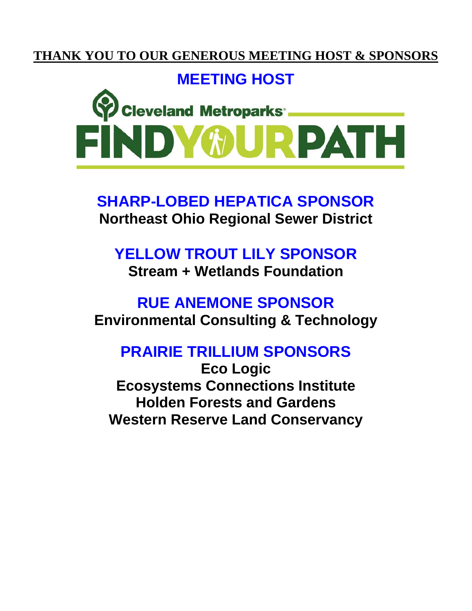## **THANK YOU TO OUR GENEROUS MEETING HOST & SPONSORS**

## **MEETING HOST**



**SHARP-LOBED HEPATICA SPONSOR Northeast Ohio Regional Sewer District** 

## **YELLOW TROUT LILY SPONSOR Stream + Wetlands Foundation**

# **RUE ANEMONE SPONSOR Environmental Consulting & Technology**

# **PRAIRIE TRILLIUM SPONSORS**

**Eco Logic Ecosystems Connections Institute Holden Forests and Gardens Western Reserve Land Conservancy**